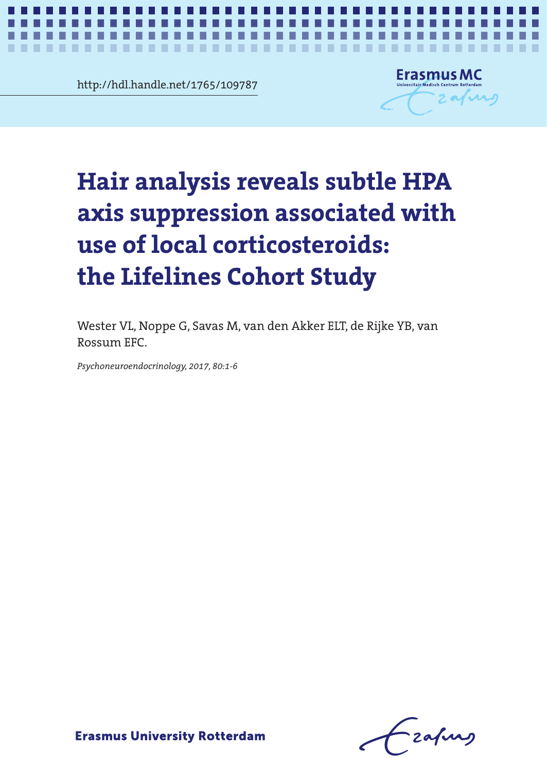http://hdl.handle.net/1765/109787

. . . . . . .

. . . .



*Corticosteroid use and hair glucocorticoids* **1**

×

# iair analysis reveals subtle HPA<br>xis suppression associated with<br>se of local corticosteroids: axis suppression associated with **axis suppression associated with**  use of local corticosteroids: **use of local corticosteroids:** the Lifelines Cohort Study **the Lifelines Cohort Study Hair analysis reveals subtle HPA**

Wester VL, Noppe G, Savas M, van den Akker ELT, de Rijke YB, van Rossum EFC.

*Psychoneuroendocrinology, 2017, 80:1-6*

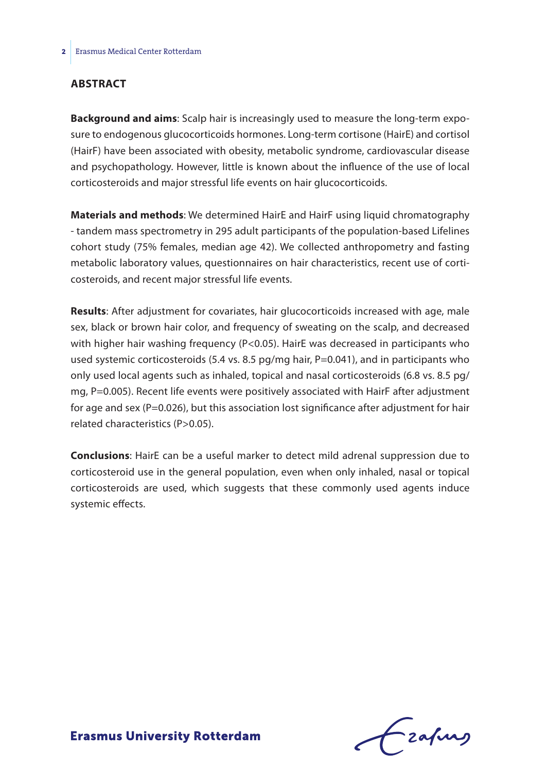#### **Abstract**

**Background and aims**: Scalp hair is increasingly used to measure the long-term exposure to endogenous glucocorticoids hormones. Long-term cortisone (HairE) and cortisol (HairF) have been associated with obesity, metabolic syndrome, cardiovascular disease and psychopathology. However, little is known about the influence of the use of local corticosteroids and major stressful life events on hair glucocorticoids.

**Materials and methods**: We determined HairE and HairF using liquid chromatography - tandem mass spectrometry in 295 adult participants of the population-based Lifelines cohort study (75% females, median age 42). We collected anthropometry and fasting metabolic laboratory values, questionnaires on hair characteristics, recent use of corticosteroids, and recent major stressful life events.

**Results**: After adjustment for covariates, hair glucocorticoids increased with age, male sex, black or brown hair color, and frequency of sweating on the scalp, and decreased with higher hair washing frequency (P<0.05). HairE was decreased in participants who used systemic corticosteroids (5.4 vs. 8.5 pg/mg hair, P=0.041), and in participants who only used local agents such as inhaled, topical and nasal corticosteroids (6.8 vs. 8.5 pg/ mg, P=0.005). Recent life events were positively associated with HairF after adjustment for age and sex (P=0.026), but this association lost significance after adjustment for hair related characteristics (P>0.05).

**Conclusions**: HairE can be a useful marker to detect mild adrenal suppression due to corticosteroid use in the general population, even when only inhaled, nasal or topical corticosteroids are used, which suggests that these commonly used agents induce systemic effects.

Lzafurs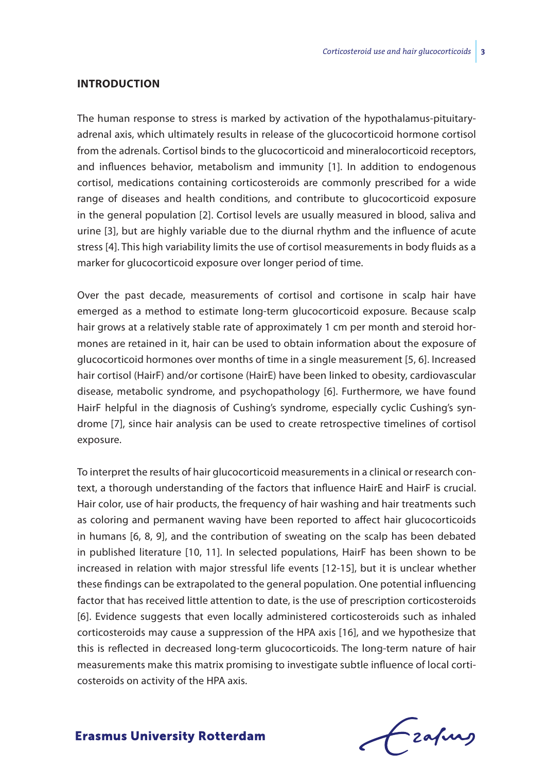#### **Introduction**

The human response to stress is marked by activation of the hypothalamus-pituitaryadrenal axis, which ultimately results in release of the glucocorticoid hormone cortisol from the adrenals. Cortisol binds to the glucocorticoid and mineralocorticoid receptors, and influences behavior, metabolism and immunity [1]. In addition to endogenous cortisol, medications containing corticosteroids are commonly prescribed for a wide range of diseases and health conditions, and contribute to glucocorticoid exposure in the general population [2]. Cortisol levels are usually measured in blood, saliva and urine [3], but are highly variable due to the diurnal rhythm and the influence of acute stress [4]. This high variability limits the use of cortisol measurements in body fluids as a marker for glucocorticoid exposure over longer period of time.

Over the past decade, measurements of cortisol and cortisone in scalp hair have emerged as a method to estimate long-term glucocorticoid exposure. Because scalp hair grows at a relatively stable rate of approximately 1 cm per month and steroid hormones are retained in it, hair can be used to obtain information about the exposure of glucocorticoid hormones over months of time in a single measurement [5, 6]. Increased hair cortisol (HairF) and/or cortisone (HairE) have been linked to obesity, cardiovascular disease, metabolic syndrome, and psychopathology [6]. Furthermore, we have found HairF helpful in the diagnosis of Cushing's syndrome, especially cyclic Cushing's syndrome [7], since hair analysis can be used to create retrospective timelines of cortisol exposure.

To interpret the results of hair glucocorticoid measurements in a clinical or research context, a thorough understanding of the factors that influence HairE and HairF is crucial. Hair color, use of hair products, the frequency of hair washing and hair treatments such as coloring and permanent waving have been reported to affect hair glucocorticoids in humans [6, 8, 9], and the contribution of sweating on the scalp has been debated in published literature [10, 11]. In selected populations, HairF has been shown to be increased in relation with major stressful life events [12-15], but it is unclear whether these findings can be extrapolated to the general population. One potential influencing factor that has received little attention to date, is the use of prescription corticosteroids [6]. Evidence suggests that even locally administered corticosteroids such as inhaled corticosteroids may cause a suppression of the HPA axis [16], and we hypothesize that this is reflected in decreased long-term glucocorticoids. The long-term nature of hair measurements make this matrix promising to investigate subtle influence of local corticosteroids on activity of the HPA axis.

frafing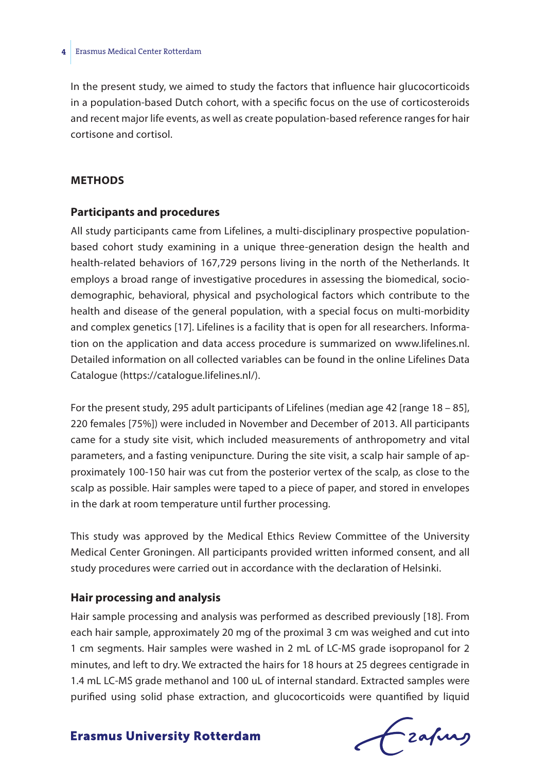In the present study, we aimed to study the factors that influence hair glucocorticoids in a population-based Dutch cohort, with a specific focus on the use of corticosteroids and recent major life events, as well as create population-based reference ranges for hair cortisone and cortisol.

#### **Methods**

#### **Participants and procedures**

All study participants came from Lifelines, a multi-disciplinary prospective populationbased cohort study examining in a unique three-generation design the health and health-related behaviors of 167,729 persons living in the north of the Netherlands. It employs a broad range of investigative procedures in assessing the biomedical, sociodemographic, behavioral, physical and psychological factors which contribute to the health and disease of the general population, with a special focus on multi-morbidity and complex genetics [17]. Lifelines is a facility that is open for all researchers. Information on the application and data access procedure is summarized on www.lifelines.nl. Detailed information on all collected variables can be found in the online Lifelines Data Catalogue (https://catalogue.lifelines.nl/).

For the present study, 295 adult participants of Lifelines (median age 42 [range 18 – 85], 220 females [75%]) were included in November and December of 2013. All participants came for a study site visit, which included measurements of anthropometry and vital parameters, and a fasting venipuncture. During the site visit, a scalp hair sample of approximately 100-150 hair was cut from the posterior vertex of the scalp, as close to the scalp as possible. Hair samples were taped to a piece of paper, and stored in envelopes in the dark at room temperature until further processing.

This study was approved by the Medical Ethics Review Committee of the University Medical Center Groningen. All participants provided written informed consent, and all study procedures were carried out in accordance with the declaration of Helsinki.

#### **Hair processing and analysis**

Hair sample processing and analysis was performed as described previously [18]. From each hair sample, approximately 20 mg of the proximal 3 cm was weighed and cut into 1 cm segments. Hair samples were washed in 2 mL of LC-MS grade isopropanol for 2 minutes, and left to dry. We extracted the hairs for 18 hours at 25 degrees centigrade in 1.4 mL LC-MS grade methanol and 100 uL of internal standard. Extracted samples were purified using solid phase extraction, and glucocorticoids were quantified by liquid

Frahing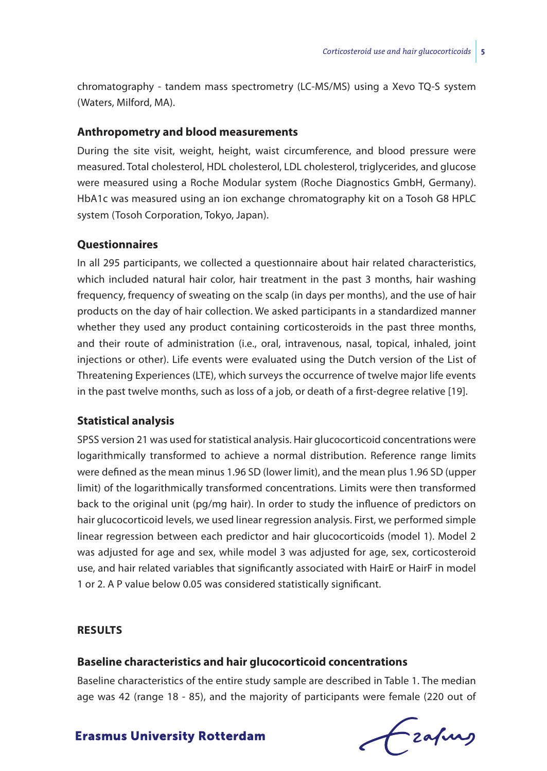chromatography - tandem mass spectrometry (LC-MS/MS) using a Xevo TQ-S system (Waters, Milford, MA).

#### **Anthropometry and blood measurements**

During the site visit, weight, height, waist circumference, and blood pressure were measured. Total cholesterol, HDL cholesterol, LDL cholesterol, triglycerides, and glucose were measured using a Roche Modular system (Roche Diagnostics GmbH, Germany). HbA1c was measured using an ion exchange chromatography kit on a Tosoh G8 HPLC system (Tosoh Corporation, Tokyo, Japan).

#### **Questionnaires**

In all 295 participants, we collected a questionnaire about hair related characteristics, which included natural hair color, hair treatment in the past 3 months, hair washing frequency, frequency of sweating on the scalp (in days per months), and the use of hair products on the day of hair collection. We asked participants in a standardized manner whether they used any product containing corticosteroids in the past three months, and their route of administration (i.e., oral, intravenous, nasal, topical, inhaled, joint injections or other). Life events were evaluated using the Dutch version of the List of Threatening Experiences (LTE), which surveys the occurrence of twelve major life events in the past twelve months, such as loss of a job, or death of a first-degree relative [19].

#### **Statistical analysis**

SPSS version 21 was used for statistical analysis. Hair glucocorticoid concentrations were logarithmically transformed to achieve a normal distribution. Reference range limits were defined as the mean minus 1.96 SD (lower limit), and the mean plus 1.96 SD (upper limit) of the logarithmically transformed concentrations. Limits were then transformed back to the original unit (pg/mg hair). In order to study the influence of predictors on hair glucocorticoid levels, we used linear regression analysis. First, we performed simple linear regression between each predictor and hair glucocorticoids (model 1). Model 2 was adjusted for age and sex, while model 3 was adjusted for age, sex, corticosteroid use, and hair related variables that significantly associated with HairE or HairF in model 1 or 2. A P value below 0.05 was considered statistically significant.

#### **Results**

#### **Baseline characteristics and hair glucocorticoid concentrations**

Baseline characteristics of the entire study sample are described in Table 1. The median age was 42 (range 18 - 85), and the majority of participants were female (220 out of

Czafing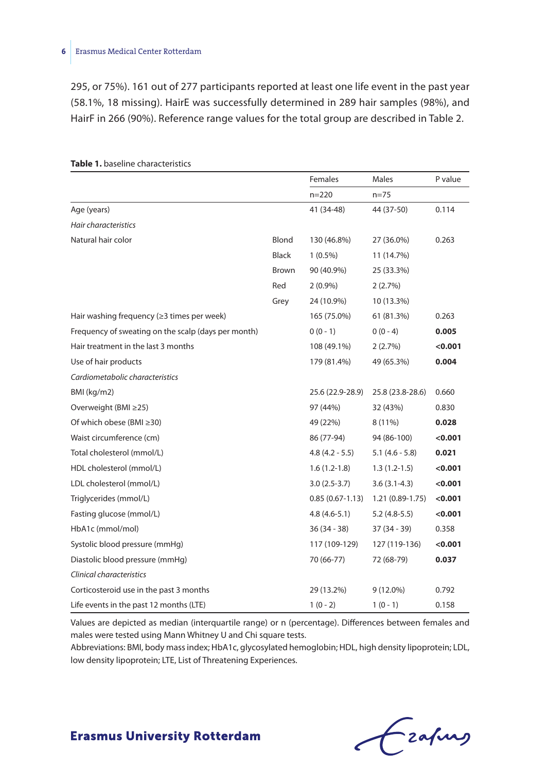#### **6** Erasmus Medical Center Rotterdam

295, or 75%). 161 out of 277 participants reported at least one life event in the past year (58.1%, 18 missing). HairE was successfully determined in 289 hair samples (98%), and HairF in 266 (90%). Reference range values for the total group are described in Table 2.

|                                                     |              | Females             | Males             | P value |
|-----------------------------------------------------|--------------|---------------------|-------------------|---------|
|                                                     |              | $n = 220$           | n=75              |         |
| Age (years)                                         |              | 41 (34-48)          | 44 (37-50)        | 0.114   |
| Hair characteristics                                |              |                     |                   |         |
| Natural hair color                                  | Blond        | 130 (46.8%)         | 27 (36.0%)        | 0.263   |
|                                                     | <b>Black</b> | $1(0.5\%)$          | 11 (14.7%)        |         |
|                                                     | Brown        | 90 (40.9%)          | 25 (33.3%)        |         |
|                                                     | Red          | $2(0.9\%)$          | 2(2.7%)           |         |
|                                                     | Grey         | 24 (10.9%)          | 10 (13.3%)        |         |
| Hair washing frequency ( $\geq$ 3 times per week)   |              | 165 (75.0%)         | 61 (81.3%)        | 0.263   |
| Frequency of sweating on the scalp (days per month) |              | $0(0-1)$            | $0(0 - 4)$        | 0.005   |
| Hair treatment in the last 3 months                 |              | 108 (49.1%)         | 2(2.7%)           | < 0.001 |
| Use of hair products                                |              | 179 (81.4%)         | 49 (65.3%)        | 0.004   |
| Cardiometabolic characteristics                     |              |                     |                   |         |
| BMI (kg/m2)                                         |              | 25.6 (22.9-28.9)    | 25.8 (23.8-28.6)  | 0.660   |
| Overweight (BMI ≥25)                                |              | 97 (44%)            | 32 (43%)          | 0.830   |
| Of which obese (BMI ≥30)                            |              | 49 (22%)            | 8 (11%)           | 0.028   |
| Waist circumference (cm)                            |              | 86 (77-94)          | 94 (86-100)       | < 0.001 |
| Total cholesterol (mmol/L)                          |              | $4.8(4.2 - 5.5)$    | $5.1(4.6 - 5.8)$  | 0.021   |
| HDL cholesterol (mmol/L)                            |              | $1.6(1.2-1.8)$      | $1.3(1.2-1.5)$    | 0.001   |
| LDL cholesterol (mmol/L)                            |              | 3.0 (2.5-3.7)       | $3.6(3.1-4.3)$    | 0.001   |
| Triglycerides (mmol/L)                              |              | $0.85(0.67 - 1.13)$ | $1.21(0.89-1.75)$ | < 0.001 |
| Fasting glucose (mmol/L)                            |              | $4.8(4.6-5.1)$      | $5.2(4.8-5.5)$    | < 0.001 |
| HbA1c (mmol/mol)                                    |              | 36 (34 - 38)        | 37 (34 - 39)      | 0.358   |
| Systolic blood pressure (mmHg)                      |              | 117 (109-129)       | 127 (119-136)     | 0.001   |
| Diastolic blood pressure (mmHg)                     |              | 70 (66-77)          | 72 (68-79)        | 0.037   |
| Clinical characteristics                            |              |                     |                   |         |
| Corticosteroid use in the past 3 months             |              | 29 (13.2%)          | 9 (12.0%)         | 0.792   |
| Life events in the past 12 months (LTE)             |              | $1(0-2)$            | $1(0-1)$          | 0.158   |

#### **Table 1.** baseline characteristics

Values are depicted as median (interquartile range) or n (percentage). Differences between females and males were tested using Mann Whitney U and Chi square tests.

Abbreviations: BMI, body mass index; HbA1c, glycosylated hemoglobin; HDL, high density lipoprotein; LDL, low density lipoprotein; LTE, List of Threatening Experiences.

Czapus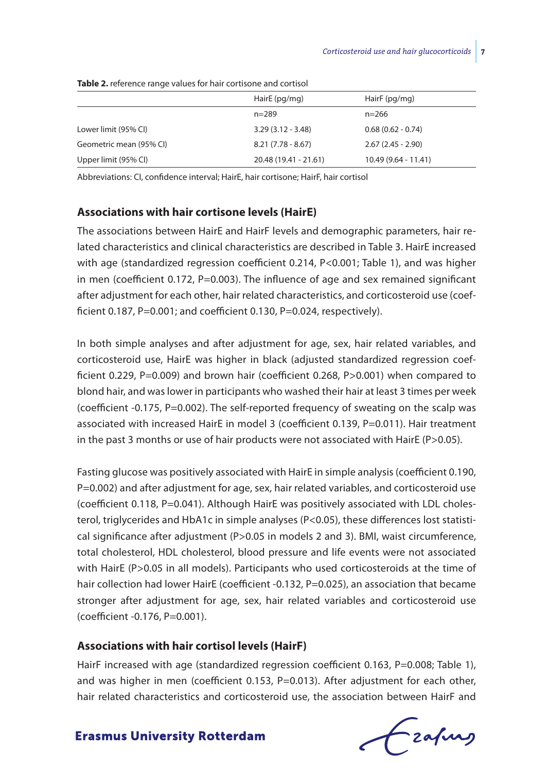|                         | HairE (pg/mg)         | HairF (pg/mg)         |  |  |
|-------------------------|-----------------------|-----------------------|--|--|
|                         | $n = 289$             | $n = 266$             |  |  |
| Lower limit (95% CI)    | $3.29(3.12 - 3.48)$   | $0.68(0.62 - 0.74)$   |  |  |
| Geometric mean (95% CI) | $8.21(7.78 - 8.67)$   | $2.67(2.45 - 2.90)$   |  |  |
| Upper limit (95% CI)    | 20.48 (19.41 - 21.61) | $10.49(9.64 - 11.41)$ |  |  |

**Table 2.** reference range values for hair cortisone and cortisol

Abbreviations: CI, confidence interval; HairE, hair cortisone; HairF, hair cortisol

#### **Associations with hair cortisone levels (HairE)**

The associations between HairE and HairF levels and demographic parameters, hair related characteristics and clinical characteristics are described in Table 3. HairE increased with age (standardized regression coefficient 0.214, P<0.001; Table 1), and was higher in men (coefficient  $0.172$ ,  $P=0.003$ ). The influence of age and sex remained significant after adjustment for each other, hair related characteristics, and corticosteroid use (coefficient 0.187, P=0.001; and coefficient 0.130, P=0.024, respectively).

In both simple analyses and after adjustment for age, sex, hair related variables, and corticosteroid use, HairE was higher in black (adjusted standardized regression coefficient 0.229, P=0.009) and brown hair (coefficient 0.268, P>0.001) when compared to blond hair, and was lower in participants who washed their hair at least 3 times per week (coefficient -0.175,  $P=0.002$ ). The self-reported frequency of sweating on the scalp was associated with increased HairE in model 3 (coefficient 0.139, P=0.011). Hair treatment in the past 3 months or use of hair products were not associated with HairE ( $P > 0.05$ ).

Fasting glucose was positively associated with HairE in simple analysis (coefficient 0.190, P=0.002) and after adjustment for age, sex, hair related variables, and corticosteroid use (coefficient 0.118, P=0.041). Although HairE was positively associated with LDL cholesterol, triglycerides and HbA1c in simple analyses (P<0.05), these differences lost statistical significance after adjustment (P>0.05 in models 2 and 3). BMI, waist circumference, total cholesterol, HDL cholesterol, blood pressure and life events were not associated with HairE (P>0.05 in all models). Participants who used corticosteroids at the time of hair collection had lower HairE (coefficient -0.132, P=0.025), an association that became stronger after adjustment for age, sex, hair related variables and corticosteroid use (coefficient -0.176, P=0.001).

#### **Associations with hair cortisol levels (HairF)**

HairF increased with age (standardized regression coefficient 0.163, P=0.008; Table 1), and was higher in men (coefficient 0.153, P=0.013). After adjustment for each other, hair related characteristics and corticosteroid use, the association between HairF and

Czafing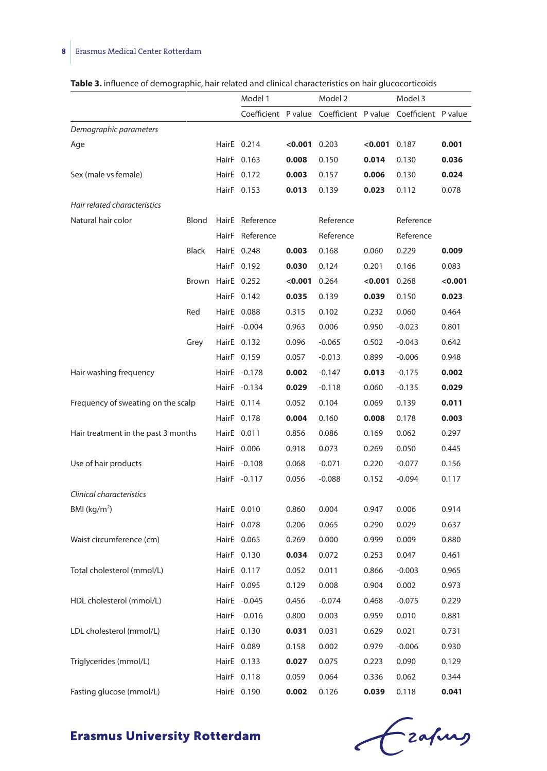# **8** Erasmus Medical Center Rotterdam

| Table 3. influence of demographic, hair related and clinical characteristics on hair glucocorticoids |  |  |  |  |  |
|------------------------------------------------------------------------------------------------------|--|--|--|--|--|
|------------------------------------------------------------------------------------------------------|--|--|--|--|--|

|                                     |                   | Model 1             |                 | Model 2   |                | Model 3                                 |         |
|-------------------------------------|-------------------|---------------------|-----------------|-----------|----------------|-----------------------------------------|---------|
|                                     |                   | Coefficient P value |                 |           |                | Coefficient P value Coefficient P value |         |
| Demographic parameters              |                   |                     |                 |           |                |                                         |         |
| Age                                 |                   | HairE 0.214         | $< 0.001$ 0.203 |           | $<0.001$ 0.187 |                                         | 0.001   |
|                                     |                   | HairF 0.163         | 0.008           | 0.150     | 0.014          | 0.130                                   | 0.036   |
| Sex (male vs female)                |                   | HairE 0.172         | 0.003           | 0.157     | 0.006          | 0.130                                   | 0.024   |
|                                     |                   | HairF 0.153         | 0.013           | 0.139     | 0.023          | 0.112                                   | 0.078   |
| Hair related characteristics        |                   |                     |                 |           |                |                                         |         |
| Natural hair color                  | Blond             | HairE Reference     |                 | Reference |                | Reference                               |         |
|                                     |                   | HairF Reference     |                 | Reference |                | Reference                               |         |
|                                     | Black             | HairE 0.248         | 0.003           | 0.168     | 0.060          | 0.229                                   | 0.009   |
|                                     |                   | HairF 0.192         | 0.030           | 0.124     | 0.201          | 0.166                                   | 0.083   |
|                                     | Brown HairE 0.252 |                     | 0.001           | 0.264     | $<0.001$ 0.268 |                                         | < 0.001 |
|                                     |                   | HairF 0.142         | 0.035           | 0.139     | 0.039          | 0.150                                   | 0.023   |
|                                     | Red               | HairE 0.088         | 0.315           | 0.102     | 0.232          | 0.060                                   | 0.464   |
|                                     |                   | HairF -0.004        | 0.963           | 0.006     | 0.950          | $-0.023$                                | 0.801   |
|                                     | Grey              | HairE 0.132         | 0.096           | $-0.065$  | 0.502          | $-0.043$                                | 0.642   |
|                                     |                   | HairF 0.159         | 0.057           | $-0.013$  | 0.899          | $-0.006$                                | 0.948   |
| Hair washing frequency              |                   | HairE -0.178        | 0.002           | $-0.147$  | 0.013          | $-0.175$                                | 0.002   |
|                                     |                   | HairF -0.134        | 0.029           | $-0.118$  | 0.060          | $-0.135$                                | 0.029   |
| Frequency of sweating on the scalp  |                   | HairE 0.114         | 0.052           | 0.104     | 0.069          | 0.139                                   | 0.011   |
|                                     |                   | HairF 0.178         | 0.004           | 0.160     | 0.008          | 0.178                                   | 0.003   |
| Hair treatment in the past 3 months |                   | HairE 0.011         | 0.856           | 0.086     | 0.169          | 0.062                                   | 0.297   |
|                                     |                   | HairF 0.006         | 0.918           | 0.073     | 0.269          | 0.050                                   | 0.445   |
| Use of hair products                |                   | HairE -0.108        | 0.068           | $-0.071$  | 0.220          | $-0.077$                                | 0.156   |
|                                     |                   | HairF -0.117        | 0.056           | $-0.088$  | 0.152          | $-0.094$                                | 0.117   |
| Clinical characteristics            |                   |                     |                 |           |                |                                         |         |
| BMI (kg/m <sup>2</sup> )            |                   | HairE 0.010         | 0.860           | 0.004     | 0.947          | 0.006                                   | 0.914   |
|                                     |                   | HairF 0.078         | 0.206           | 0.065     | 0.290          | 0.029                                   | 0.637   |
| Waist circumference (cm)            |                   | HairE 0.065         | 0.269           | 0.000     | 0.999          | 0.009                                   | 0.880   |
|                                     |                   | HairF 0.130         | 0.034           | 0.072     | 0.253          | 0.047                                   | 0.461   |
| Total cholesterol (mmol/L)          |                   | HairE 0.117         | 0.052           | 0.011     | 0.866          | $-0.003$                                | 0.965   |
|                                     |                   | HairF 0.095         | 0.129           | 0.008     | 0.904          | 0.002                                   | 0.973   |
| HDL cholesterol (mmol/L)            |                   | HairE -0.045        | 0.456           | $-0.074$  | 0.468          | $-0.075$                                | 0.229   |
|                                     |                   | HairF -0.016        | 0.800           | 0.003     | 0.959          | 0.010                                   | 0.881   |
| LDL cholesterol (mmol/L)            |                   | HairE 0.130         | 0.031           | 0.031     | 0.629          | 0.021                                   | 0.731   |
|                                     |                   | HairF 0.089         | 0.158           | 0.002     | 0.979          | $-0.006$                                | 0.930   |
| Triglycerides (mmol/L)              |                   | HairE 0.133         | 0.027           | 0.075     | 0.223          | 0.090                                   | 0.129   |
|                                     |                   | HairF 0.118         | 0.059           | 0.064     | 0.336          | 0.062                                   | 0.344   |
| Fasting glucose (mmol/L)            |                   | HairE 0.190         | 0.002           | 0.126     | 0.039          | 0.118                                   | 0.041   |

Czahny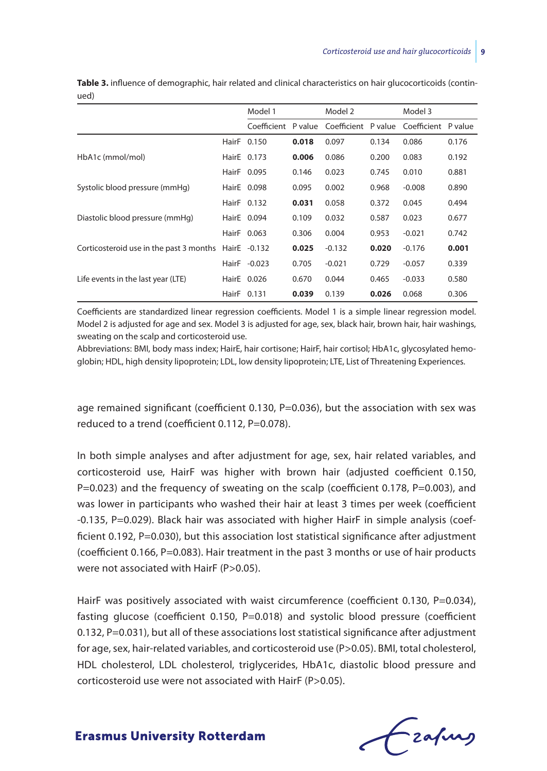|                                         | Model 1      |       | Model 2  |       | Model 3                                                     |       |
|-----------------------------------------|--------------|-------|----------|-------|-------------------------------------------------------------|-------|
|                                         |              |       |          |       | Coefficient P value Coefficient P value Coefficient P value |       |
|                                         | HairF 0.150  | 0.018 | 0.097    | 0.134 | 0.086                                                       | 0.176 |
| HbA1c (mmol/mol)                        | HairE 0.173  | 0.006 | 0.086    | 0.200 | 0.083                                                       | 0.192 |
|                                         | HairF 0.095  | 0.146 | 0.023    | 0.745 | 0.010                                                       | 0.881 |
| Systolic blood pressure (mmHg)          | HairE 0.098  | 0.095 | 0.002    | 0.968 | $-0.008$                                                    | 0.890 |
|                                         | HairF 0.132  | 0.031 | 0.058    | 0.372 | 0.045                                                       | 0.494 |
| Diastolic blood pressure (mmHq)         | HairE 0.094  | 0.109 | 0.032    | 0.587 | 0.023                                                       | 0.677 |
|                                         | HairF 0.063  | 0.306 | 0.004    | 0.953 | $-0.021$                                                    | 0.742 |
| Corticosteroid use in the past 3 months | HairE -0.132 | 0.025 | $-0.132$ | 0.020 | $-0.176$                                                    | 0.001 |
|                                         | HairF -0.023 | 0.705 | $-0.021$ | 0.729 | $-0.057$                                                    | 0.339 |
| Life events in the last year (LTE)      | HairE 0.026  | 0.670 | 0.044    | 0.465 | $-0.033$                                                    | 0.580 |
|                                         | HairF 0.131  | 0.039 | 0.139    | 0.026 | 0.068                                                       | 0.306 |

**Table 3.** influence of demographic, hair related and clinical characteristics on hair glucocorticoids (continued)

Coefficients are standardized linear regression coefficients. Model 1 is a simple linear regression model. Model 2 is adjusted for age and sex. Model 3 is adjusted for age, sex, black hair, brown hair, hair washings, sweating on the scalp and corticosteroid use.

Abbreviations: BMI, body mass index; HairE, hair cortisone; HairF, hair cortisol; HbA1c, glycosylated hemoglobin; HDL, high density lipoprotein; LDL, low density lipoprotein; LTE, List of Threatening Experiences.

age remained significant (coefficient 0.130, P=0.036), but the association with sex was reduced to a trend (coefficient 0.112, P=0.078).

In both simple analyses and after adjustment for age, sex, hair related variables, and corticosteroid use, HairF was higher with brown hair (adjusted coefficient 0.150, P=0.023) and the frequency of sweating on the scalp (coefficient 0.178, P=0.003), and was lower in participants who washed their hair at least 3 times per week (coefficient -0.135, P=0.029). Black hair was associated with higher HairF in simple analysis (coefficient 0.192, P=0.030), but this association lost statistical significance after adjustment (coefficient 0.166, P=0.083). Hair treatment in the past 3 months or use of hair products were not associated with HairF (P>0.05).

HairF was positively associated with waist circumference (coefficient 0.130, P=0.034), fasting glucose (coefficient 0.150, P=0.018) and systolic blood pressure (coefficient 0.132, P=0.031), but all of these associations lost statistical significance after adjustment for age, sex, hair-related variables, and corticosteroid use (P>0.05). BMI, total cholesterol, HDL cholesterol, LDL cholesterol, triglycerides, HbA1c, diastolic blood pressure and corticosteroid use were not associated with HairF (P>0.05).

Frahing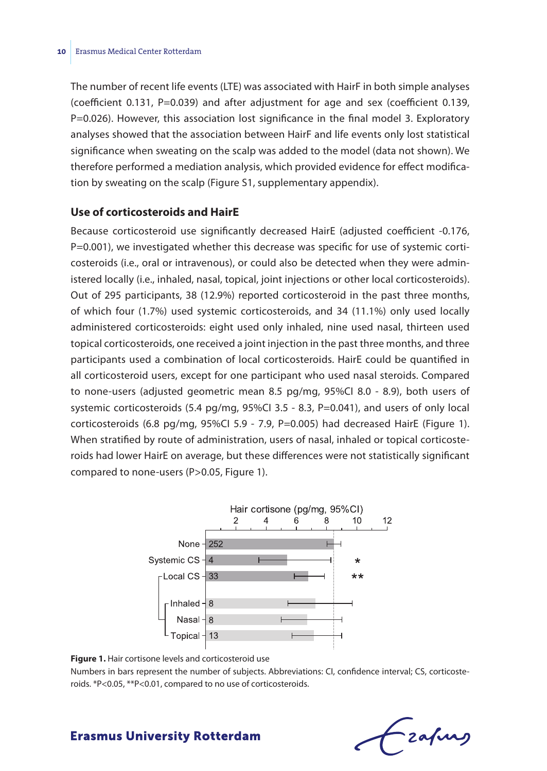The number of recent life events (LTE) was associated with HairF in both simple analyses (coefficient 0.131, P=0.039) and after adjustment for age and sex (coefficient 0.139, P=0.026). However, this association lost significance in the final model 3. Exploratory analyses showed that the association between HairF and life events only lost statistical significance when sweating on the scalp was added to the model (data not shown). We therefore performed a mediation analysis, which provided evidence for effect modification by sweating on the scalp (Figure S1, supplementary appendix).

#### **Use of corticosteroids and HairE**

Because corticosteroid use significantly decreased HairE (adjusted coefficient -0.176, P=0.001), we investigated whether this decrease was specific for use of systemic corticosteroids (i.e., oral or intravenous), or could also be detected when they were administered locally (i.e., inhaled, nasal, topical, joint injections or other local corticosteroids). Out of 295 participants, 38 (12.9%) reported corticosteroid in the past three months, of which four (1.7%) used systemic corticosteroids, and 34 (11.1%) only used locally administered corticosteroids: eight used only inhaled, nine used nasal, thirteen used topical corticosteroids, one received a joint injection in the past three months, and three participants used a combination of local corticosteroids. HairE could be quantified in all corticosteroid users, except for one participant who used nasal steroids. Compared to none-users (adjusted geometric mean 8.5 pg/mg, 95%CI 8.0 - 8.9), both users of systemic corticosteroids  $(5.4 \text{ pg/mg}, 95\% \text{Cl} \cdot 3.5 - 8.3, \text{P} = 0.041)$ , and users of only local corticosteroids (6.8 pg/mg, 95%CI 5.9 - 7.9, P=0.005) had decreased HairE (Figure 1). When stratified by route of administration, users of nasal, inhaled or topical corticosteroids had lower HairE on average, but these differences were not statistically significant compared to none-users (P>0.05, Figure 1).



**Figure 1.** Hair cortisone levels and corticosteroid use Numbers in bars represent the number of subjects. Abbreviations: CI, confidence interval; CS, corticosteroids. \*P<0.05, \*\*P<0.01, compared to no use of corticosteroids.

# - zafung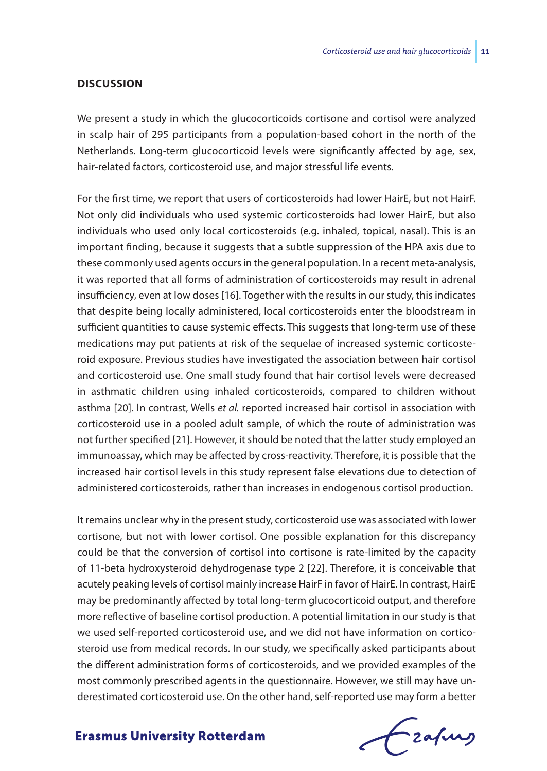#### **Discussion**

We present a study in which the glucocorticoids cortisone and cortisol were analyzed in scalp hair of 295 participants from a population-based cohort in the north of the Netherlands. Long-term glucocorticoid levels were significantly affected by age, sex, hair-related factors, corticosteroid use, and major stressful life events.

For the first time, we report that users of corticosteroids had lower HairE, but not HairF. Not only did individuals who used systemic corticosteroids had lower HairE, but also individuals who used only local corticosteroids (e.g. inhaled, topical, nasal). This is an important finding, because it suggests that a subtle suppression of the HPA axis due to these commonly used agents occurs in the general population. In a recent meta-analysis, it was reported that all forms of administration of corticosteroids may result in adrenal insufficiency, even at low doses [16]. Together with the results in our study, this indicates that despite being locally administered, local corticosteroids enter the bloodstream in sufficient quantities to cause systemic effects. This suggests that long-term use of these medications may put patients at risk of the sequelae of increased systemic corticosteroid exposure. Previous studies have investigated the association between hair cortisol and corticosteroid use. One small study found that hair cortisol levels were decreased in asthmatic children using inhaled corticosteroids, compared to children without asthma [20]. In contrast, Wells *et al.* reported increased hair cortisol in association with corticosteroid use in a pooled adult sample, of which the route of administration was not further specified [21]. However, it should be noted that the latter study employed an immunoassay, which may be affected by cross-reactivity. Therefore, it is possible that the increased hair cortisol levels in this study represent false elevations due to detection of administered corticosteroids, rather than increases in endogenous cortisol production.

It remains unclear why in the present study, corticosteroid use was associated with lower cortisone, but not with lower cortisol. One possible explanation for this discrepancy could be that the conversion of cortisol into cortisone is rate-limited by the capacity of 11-beta hydroxysteroid dehydrogenase type 2 [22]. Therefore, it is conceivable that acutely peaking levels of cortisol mainly increase HairF in favor of HairE. In contrast, HairE may be predominantly affected by total long-term glucocorticoid output, and therefore more reflective of baseline cortisol production. A potential limitation in our study is that we used self-reported corticosteroid use, and we did not have information on corticosteroid use from medical records. In our study, we specifically asked participants about the different administration forms of corticosteroids, and we provided examples of the most commonly prescribed agents in the questionnaire. However, we still may have underestimated corticosteroid use. On the other hand, self-reported use may form a better

frafing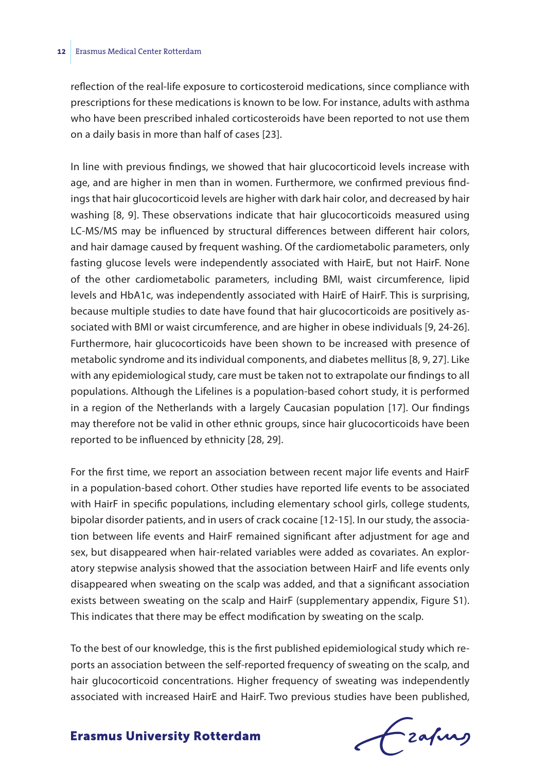reflection of the real-life exposure to corticosteroid medications, since compliance with prescriptions for these medications is known to be low. For instance, adults with asthma who have been prescribed inhaled corticosteroids have been reported to not use them on a daily basis in more than half of cases [23].

In line with previous findings, we showed that hair glucocorticoid levels increase with age, and are higher in men than in women. Furthermore, we confirmed previous findings that hair glucocorticoid levels are higher with dark hair color, and decreased by hair washing [8, 9]. These observations indicate that hair glucocorticoids measured using LC-MS/MS may be influenced by structural differences between different hair colors, and hair damage caused by frequent washing. Of the cardiometabolic parameters, only fasting glucose levels were independently associated with HairE, but not HairF. None of the other cardiometabolic parameters, including BMI, waist circumference, lipid levels and HbA1c, was independently associated with HairE of HairF. This is surprising, because multiple studies to date have found that hair glucocorticoids are positively associated with BMI or waist circumference, and are higher in obese individuals [9, 24-26]. Furthermore, hair glucocorticoids have been shown to be increased with presence of metabolic syndrome and its individual components, and diabetes mellitus [8, 9, 27]. Like with any epidemiological study, care must be taken not to extrapolate our findings to all populations. Although the Lifelines is a population-based cohort study, it is performed in a region of the Netherlands with a largely Caucasian population [17]. Our findings may therefore not be valid in other ethnic groups, since hair glucocorticoids have been reported to be influenced by ethnicity [28, 29].

For the first time, we report an association between recent major life events and HairF in a population-based cohort. Other studies have reported life events to be associated with HairF in specific populations, including elementary school girls, college students, bipolar disorder patients, and in users of crack cocaine [12-15]. In our study, the association between life events and HairF remained significant after adjustment for age and sex, but disappeared when hair-related variables were added as covariates. An exploratory stepwise analysis showed that the association between HairF and life events only disappeared when sweating on the scalp was added, and that a significant association exists between sweating on the scalp and HairF (supplementary appendix, Figure S1). This indicates that there may be effect modification by sweating on the scalp.

To the best of our knowledge, this is the first published epidemiological study which reports an association between the self-reported frequency of sweating on the scalp, and hair glucocorticoid concentrations. Higher frequency of sweating was independently associated with increased HairE and HairF. Two previous studies have been published,

frafing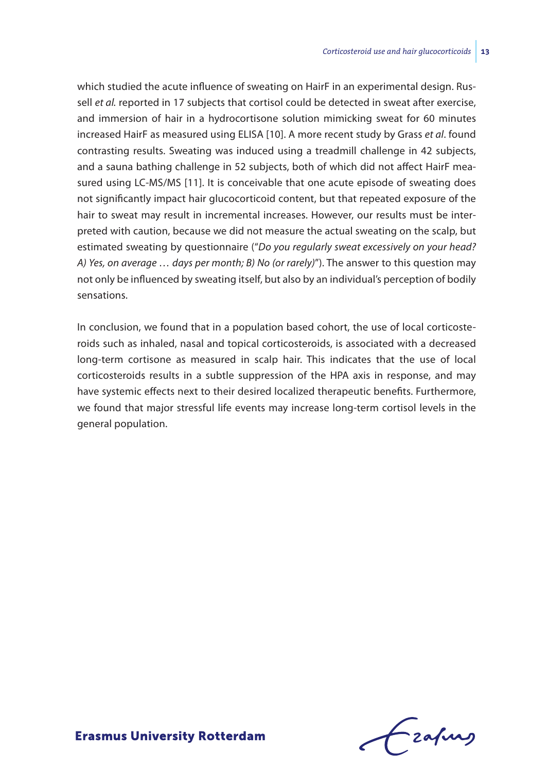which studied the acute influence of sweating on HairF in an experimental design. Russell *et al.* reported in 17 subjects that cortisol could be detected in sweat after exercise, and immersion of hair in a hydrocortisone solution mimicking sweat for 60 minutes increased HairF as measured using ELISA [10]. A more recent study by Grass *et al*. found contrasting results. Sweating was induced using a treadmill challenge in 42 subjects, and a sauna bathing challenge in 52 subjects, both of which did not affect HairF measured using LC-MS/MS [11]. It is conceivable that one acute episode of sweating does not significantly impact hair glucocorticoid content, but that repeated exposure of the hair to sweat may result in incremental increases. However, our results must be interpreted with caution, because we did not measure the actual sweating on the scalp, but estimated sweating by questionnaire ("*Do you regularly sweat excessively on your head? A) Yes, on average … days per month; B) No (or rarely)*"). The answer to this question may not only be influenced by sweating itself, but also by an individual's perception of bodily sensations.

In conclusion, we found that in a population based cohort, the use of local corticosteroids such as inhaled, nasal and topical corticosteroids, is associated with a decreased long-term cortisone as measured in scalp hair. This indicates that the use of local corticosteroids results in a subtle suppression of the HPA axis in response, and may have systemic effects next to their desired localized therapeutic benefits. Furthermore, we found that major stressful life events may increase long-term cortisol levels in the general population.

Lzafurs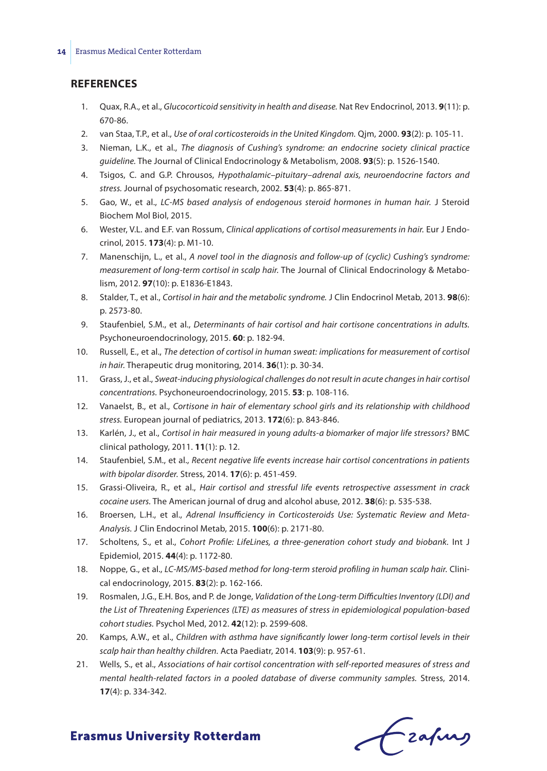#### **References**

- 1. Quax, R.A., et al., *Glucocorticoid sensitivity in health and disease.* Nat Rev Endocrinol, 2013. **9**(11): p. 670-86.
- 2. van Staa, T.P., et al., *Use of oral corticosteroids in the United Kingdom.* Qjm, 2000. **93**(2): p. 105-11.
- 3. Nieman, L.K., et al., *The diagnosis of Cushing's syndrome: an endocrine society clinical practice guideline.* The Journal of Clinical Endocrinology & Metabolism, 2008. **93**(5): p. 1526-1540.
- 4. Tsigos, C. and G.P. Chrousos, *Hypothalamic–pituitary–adrenal axis, neuroendocrine factors and stress.* Journal of psychosomatic research, 2002. **53**(4): p. 865-871.
- 5. Gao, W., et al., *LC-MS based analysis of endogenous steroid hormones in human hair.* J Steroid Biochem Mol Biol, 2015.
- 6. Wester, V.L. and E.F. van Rossum, *Clinical applications of cortisol measurements in hair.* Eur J Endocrinol, 2015. **173**(4): p. M1-10.
- 7. Manenschijn, L., et al., *A novel tool in the diagnosis and follow-up of (cyclic) Cushing's syndrome: measurement of long-term cortisol in scalp hair.* The Journal of Clinical Endocrinology & Metabolism, 2012. **97**(10): p. E1836-E1843.
- 8. Stalder, T., et al., *Cortisol in hair and the metabolic syndrome.* J Clin Endocrinol Metab, 2013. **98**(6): p. 2573-80.
- 9. Staufenbiel, S.M., et al., *Determinants of hair cortisol and hair cortisone concentrations in adults.* Psychoneuroendocrinology, 2015. **60**: p. 182-94.
- 10. Russell, E., et al., *The detection of cortisol in human sweat: implications for measurement of cortisol in hair.* Therapeutic drug monitoring, 2014. **36**(1): p. 30-34.
- 11. Grass, J., et al., *Sweat-inducing physiological challenges do not result in acute changes in hair cortisol concentrations.* Psychoneuroendocrinology, 2015. **53**: p. 108-116.
- 12. Vanaelst, B., et al., *Cortisone in hair of elementary school girls and its relationship with childhood stress.* European journal of pediatrics, 2013. **172**(6): p. 843-846.
- 13. Karlén, J., et al., *Cortisol in hair measured in young adults-a biomarker of major life stressors?* BMC clinical pathology, 2011. **11**(1): p. 12.
- 14. Staufenbiel, S.M., et al., *Recent negative life events increase hair cortisol concentrations in patients with bipolar disorder.* Stress, 2014. **17**(6): p. 451-459.
- 15. Grassi-Oliveira, R., et al., *Hair cortisol and stressful life events retrospective assessment in crack cocaine users.* The American journal of drug and alcohol abuse, 2012. **38**(6): p. 535-538.
- 16. Broersen, L.H., et al., *Adrenal Insufficiency in Corticosteroids Use: Systematic Review and Meta-Analysis.* J Clin Endocrinol Metab, 2015. **100**(6): p. 2171-80.
- 17. Scholtens, S., et al., *Cohort Profile: LifeLines, a three-generation cohort study and biobank.* Int J Epidemiol, 2015. **44**(4): p. 1172-80.
- 18. Noppe, G., et al., *LC‐MS/MS‐based method for long‐term steroid profiling in human scalp hair.* Clinical endocrinology, 2015. **83**(2): p. 162-166.
- 19. Rosmalen, J.G., E.H. Bos, and P. de Jonge, *Validation of the Long-term Difficulties Inventory (LDI) and the List of Threatening Experiences (LTE) as measures of stress in epidemiological population-based cohort studies.* Psychol Med, 2012. **42**(12): p. 2599-608.
- 20. Kamps, A.W., et al., *Children with asthma have significantly lower long-term cortisol levels in their scalp hair than healthy children.* Acta Paediatr, 2014. **103**(9): p. 957-61.
- 21. Wells, S., et al., *Associations of hair cortisol concentration with self-reported measures of stress and mental health-related factors in a pooled database of diverse community samples.* Stress, 2014. **17**(4): p. 334-342.

Czafurz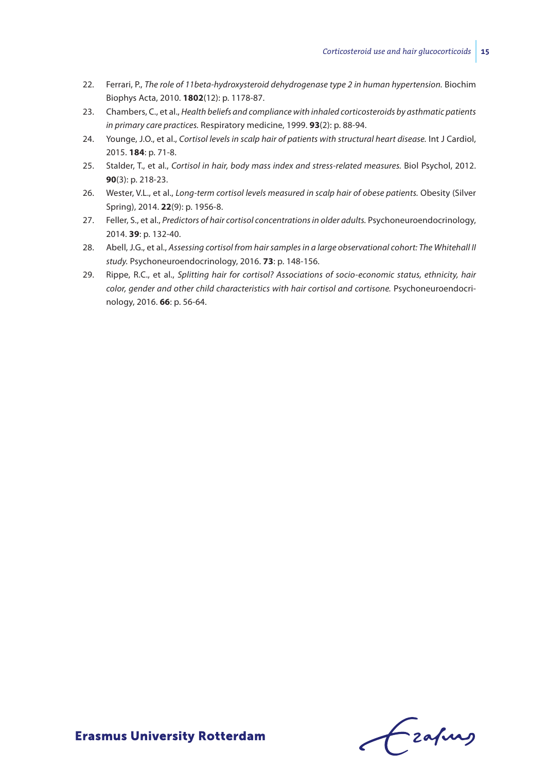- 22. Ferrari, P., *The role of 11beta-hydroxysteroid dehydrogenase type 2 in human hypertension.* Biochim Biophys Acta, 2010. **1802**(12): p. 1178-87.
- 23. Chambers, C., et al., *Health beliefs and compliance with inhaled corticosteroids by asthmatic patients in primary care practices.* Respiratory medicine, 1999. **93**(2): p. 88-94.
- 24. Younge, J.O., et al., *Cortisol levels in scalp hair of patients with structural heart disease.* Int J Cardiol, 2015. **184**: p. 71-8.
- 25. Stalder, T., et al., *Cortisol in hair, body mass index and stress-related measures.* Biol Psychol, 2012. **90**(3): p. 218-23.
- 26. Wester, V.L., et al., *Long-term cortisol levels measured in scalp hair of obese patients.* Obesity (Silver Spring), 2014. **22**(9): p. 1956-8.
- 27. Feller, S., et al., *Predictors of hair cortisol concentrations in older adults.* Psychoneuroendocrinology, 2014. **39**: p. 132-40.
- 28. Abell, J.G., et al., *Assessing cortisol from hair samples in a large observational cohort: The Whitehall II study.* Psychoneuroendocrinology, 2016. **73**: p. 148-156.
- 29. Rippe, R.C., et al., *Splitting hair for cortisol? Associations of socio-economic status, ethnicity, hair color, gender and other child characteristics with hair cortisol and cortisone.* Psychoneuroendocrinology, 2016. **66**: p. 56-64.

frafing